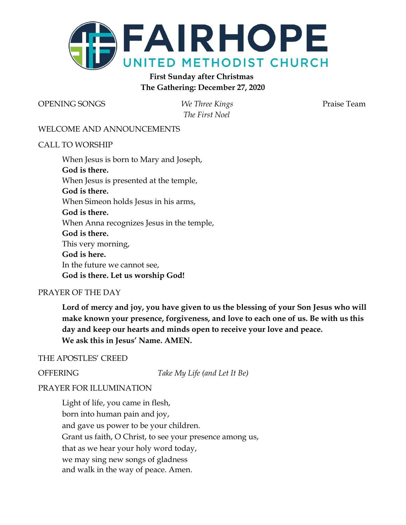

# **First Sunday after Christmas The Gathering: December 27, 2020**

OPENING SONGS *We Three Kings* Praise Team

*The First Noel*

#### WELCOME AND ANNOUNCEMENTS

#### CALL TO WORSHIP

When Jesus is born to Mary and Joseph, **God is there.** When Jesus is presented at the temple, **God is there.** When Simeon holds Jesus in his arms, **God is there.** When Anna recognizes Jesus in the temple, **God is there.** This very morning, **God is here.** In the future we cannot see, **God is there. Let us worship God!**

#### PRAYER OF THE DAY

**Lord of mercy and joy, you have given to us the blessing of your Son Jesus who will make known your presence, forgiveness, and love to each one of us. Be with us this day and keep our hearts and minds open to receive your love and peace. We ask this in Jesus' Name. AMEN.**

#### THE APOSTLES' CREED

OFFERING *Take My Life (and Let It Be)*

### PRAYER FOR ILLUMINATION

Light of life, you came in flesh, born into human pain and joy, and gave us power to be your children. Grant us faith, O Christ, to see your presence among us, that as we hear your holy word today, we may sing new songs of gladness and walk in the way of peace. Amen.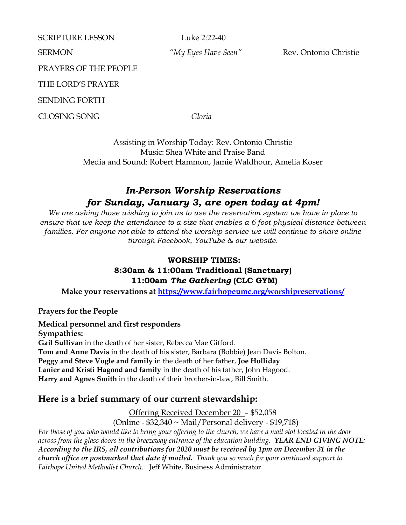| <b>SCRIPTURE LESSON</b>      | Luke 2:22-40        |                       |
|------------------------------|---------------------|-----------------------|
| <b>SERMON</b>                | "My Eyes Have Seen" | Rev. Ontonio Christie |
| <b>PRAYERS OF THE PEOPLE</b> |                     |                       |
| THE LORD'S PRAYER            |                     |                       |
| <b>SENDING FORTH</b>         |                     |                       |
| <b>CLOSING SONG</b>          | Gloria              |                       |
|                              |                     |                       |

Assisting in Worship Today: Rev. Ontonio Christie Music: Shea White and Praise Band Media and Sound: Robert Hammon, Jamie Waldhour, Amelia Koser

# *In-Person Worship Reservations for Sunday, January 3, are open today at 4pm!*

*We are asking those wishing to join us to use the reservation system we have in place to ensure that we keep the attendance to a size that enables a 6 foot physical distance between families. For anyone not able to attend the worship service we will continue to share online through Facebook, YouTube & our website.*

# **WORSHIP TIMES: 8:30am & 11:00am Traditional (Sanctuary) 11:00am** *The Gathering* **(CLC GYM)**

**Make your reservations at<https://www.fairhopeumc.org/worshipreservations/>**

## **Prayers for the People**

**Medical personnel and first responders Sympathies: Gail Sullivan** in the death of her sister, Rebecca Mae Gifford. **Tom and Anne Davis** in the death of his sister, Barbara (Bobbie) Jean Davis Bolton. **Peggy and Steve Vogle and family** in the death of her father, **Joe Holliday**. **Lanier and Kristi Hagood and family** in the death of his father, John Hagood. **Harry and Agnes Smith** in the death of their brother-in-law, Bill Smith.

# **Here is a brief summary of our current stewardship:**

Offering Received December 20 – \$52,058

(Online - \$32,340 ~ Mail/Personal delivery - \$19,718)

*For those of you who would like to bring your offering to the church, we have a mail slot located in the door across from the glass doors in the breezeway entrance of the education building. YEAR END GIVING NOTE: According to the IRS, all contributions for 2020 must be received by 1pm on December 31 in the church office or postmarked that date if mailed. Thank you so much for your continued support to Fairhope United Methodist Church.* Jeff White, Business Administrator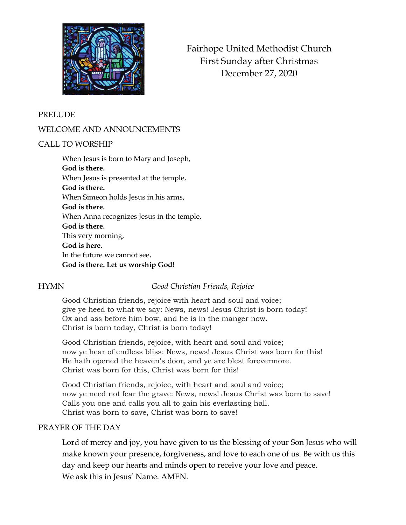

Fairhope United Methodist Church First Sunday after Christmas December 27, 2020

#### PRELUDE

### WELCOME AND ANNOUNCEMENTS

#### CALL TO WORSHIP

When Jesus is born to Mary and Joseph, **God is there.** When Jesus is presented at the temple, **God is there.** When Simeon holds Jesus in his arms, **God is there.** When Anna recognizes Jesus in the temple, **God is there.** This very morning, **God is here.** In the future we cannot see, **God is there. Let us worship God!**

### HYMN *Good Christian Friends, Rejoice*

Good Christian friends, rejoice with heart and soul and voice; give ye heed to what we say: News, news! Jesus Christ is born today! Ox and ass before him bow, and he is in the manger now. Christ is born today, Christ is born today!

Good Christian friends, rejoice, with heart and soul and voice; now ye hear of endless bliss: News, news! Jesus Christ was born for this! He hath opened the heaven's door, and ye are blest forevermore. Christ was born for this, Christ was born for this!

Good Christian friends, rejoice, with heart and soul and voice; now ye need not fear the grave: News, news! Jesus Christ was born to save! Calls you one and calls you all to gain his everlasting hall. Christ was born to save, Christ was born to save!

#### PRAYER OF THE DAY

Lord of mercy and joy, you have given to us the blessing of your Son Jesus who will make known your presence, forgiveness, and love to each one of us. Be with us this day and keep our hearts and minds open to receive your love and peace. We ask this in Jesus' Name. AMEN.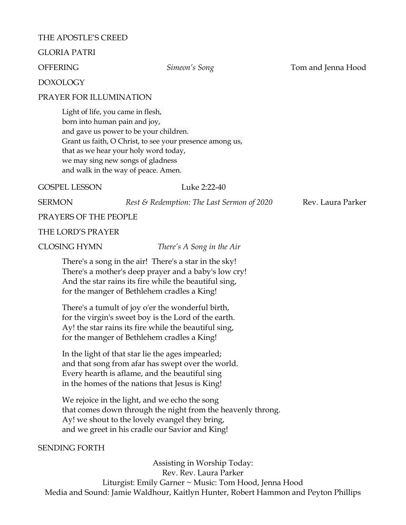#### THE APOSTLE'S CREED

#### GLORIA PATRI

OFFERING *Simeon's Song* Tom and Jenna Hood

#### DOXOLOGY

#### PRAYER FOR ILLUMINATION

Light of life, you came in flesh, born into human pain and joy, and gave us power to be your children. Grant us faith, O Christ, to see your presence among us, that as we hear your holy word today, we may sing new songs of gladness and walk in the way of peace. Amen.

#### GOSPEL LESSON Luke 2:22-40

SERMON *Rest & Redemption: The Last Sermon of 2020* Rev. Laura Parker

PRAYERS OF THE PEOPLE

#### THE LORD'S PRAYER

CLOSING HYMN *There's A Song in the Air*

There's a song in the air! There's a star in the sky! There's a mother's deep prayer and a baby's low cry! And the star rains its fire while the beautiful sing, for the manger of Bethlehem cradles a King!

There's a tumult of joy o'er the wonderful birth, for the virgin's sweet boy is the Lord of the earth. Ay! the star rains its fire while the beautiful sing, for the manger of Bethlehem cradles a King!

In the light of that star lie the ages impearled; and that song from afar has swept over the world. Every hearth is aflame, and the beautiful sing in the homes of the nations that Jesus is King!

We rejoice in the light, and we echo the song that comes down through the night from the heavenly throng. Ay! we shout to the lovely evangel they bring, and we greet in his cradle our Savior and King!

#### SENDING FORTH

Assisting in Worship Today: Rev. Rev. Laura Parker Liturgist: Emily Garner ~ Music: Tom Hood, Jenna Hood Media and Sound: Jamie Waldhour, Kaitlyn Hunter, Robert Hammon and Peyton Phillips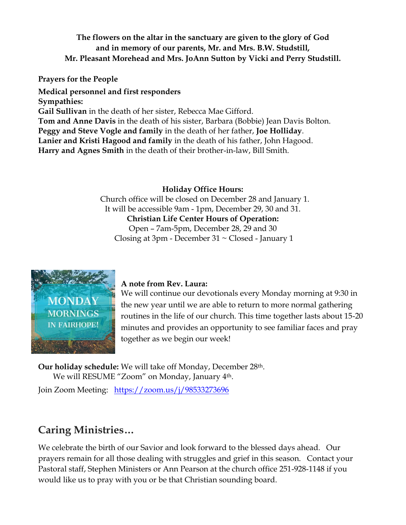# **The flowers on the altar in the sanctuary are given to the glory of God and in memory of our parents, Mr. and Mrs. B.W. Studstill, Mr. Pleasant Morehead and Mrs. JoAnn Sutton by Vicki and Perry Studstill.**

**Prayers for the People**

**Medical personnel and first responders Sympathies:** Gail Sullivan in the death of her sister, Rebecca Mae Gifford. **Tom and Anne Davis** in the death of his sister, Barbara (Bobbie) Jean Davis Bolton. **Peggy and Steve Vogle and family** in the death of her father, **Joe Holliday**. **Lanier and Kristi Hagood and family** in the death of his father, John Hagood. **Harry and Agnes Smith** in the death of their brother-in-law, Bill Smith.

## **Holiday Office Hours:**

Church office will be closed on December 28 and January 1. It will be accessible 9am - 1pm, December 29, 30 and 31. **Christian Life Center Hours of Operation:**  Open – 7am-5pm, December 28, 29 and 30 Closing at  $3pm$  - December  $31 \sim$  Closed - January 1



## **A note from Rev. Laura:**

We will continue our devotionals every Monday morning at 9:30 in the new year until we are able to return to more normal gathering routines in the life of our church. This time together lasts about 15-20 minutes and provides an opportunity to see familiar faces and pray together as we begin our week!

**Our holiday schedule:** We will take off Monday, December 28th. We will RESUME "Zoom" on Monday, January 4<sup>th</sup>.

Join Zoom Meeting: <https://zoom.us/j/98533273696>

# **Caring Ministries…**

We celebrate the birth of our Savior and look forward to the blessed days ahead. Our prayers remain for all those dealing with struggles and grief in this season. Contact your Pastoral staff, Stephen Ministers or Ann Pearson at the church office 251-928-1148 if you would like us to pray with you or be that Christian sounding board.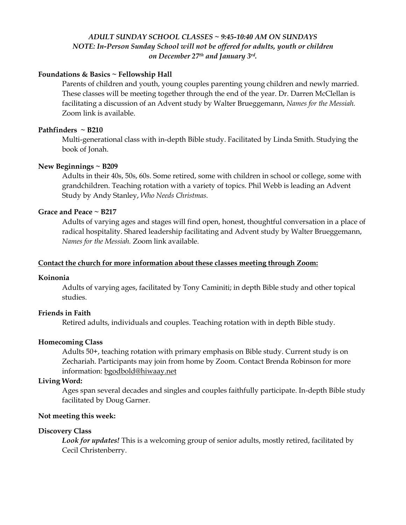#### *ADULT SUNDAY SCHOOL CLASSES ~ 9:45-10:40 AM ON SUNDAYS NOTE: In-Person Sunday School will not be offered for adults, youth or children on December 27th and January 3rd .*

#### **Foundations & Basics ~ Fellowship Hall**

Parents of children and youth, young couples parenting young children and newly married. These classes will be meeting together through the end of the year. Dr. Darren McClellan is facilitating a discussion of an Advent study by Walter Brueggemann, *Names for the Messiah.*  Zoom link is available.

#### **Pathfinders ~ B210**

Multi-generational class with in-depth Bible study. Facilitated by Linda Smith. Studying the book of Jonah.

#### **New Beginnings ~ B209**

Adults in their 40s, 50s, 60s. Some retired, some with children in school or college, some with grandchildren. Teaching rotation with a variety of topics. Phil Webb is leading an Advent Study by Andy Stanley, *Who Needs Christmas.* 

#### **Grace and Peace ~ B217**

Adults of varying ages and stages will find open, honest, thoughtful conversation in a place of radical hospitality. Shared leadership facilitating and Advent study by Walter Brueggemann, *Names for the Messiah.* Zoom link available.

#### **Contact the church for more information about these classes meeting through Zoom:**

#### **Koinonia**

Adults of varying ages, facilitated by Tony Caminiti; in depth Bible study and other topical studies.

#### **Friends in Faith**

Retired adults, individuals and couples. Teaching rotation with in depth Bible study.

#### **Homecoming Class**

Adults 50+, teaching rotation with primary emphasis on Bible study. Current study is on Zechariah. Participants may join from home by Zoom. Contact Brenda Robinson for more information: [bgodbold@hiwaay.net](mailto:bgodbold@hiwaay.net)

### **Living Word:**

Ages span several decades and singles and couples faithfully participate. In-depth Bible study facilitated by Doug Garner.

#### **Not meeting this week:**

#### **Discovery Class**

*Look for updates!* This is a welcoming group of senior adults, mostly retired, facilitated by Cecil Christenberry.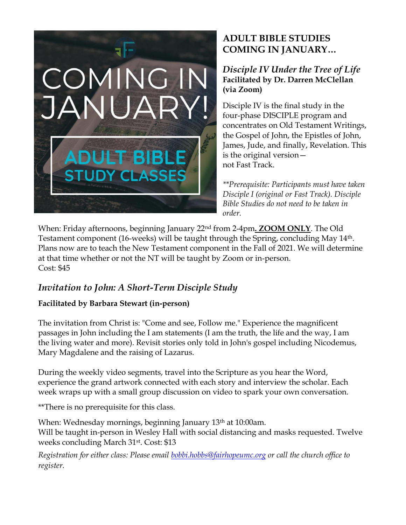

# **ADULT BIBLE STUDIES COMING IN JANUARY…**

## *Disciple IV Under the Tree of Life* **Facilitated by Dr. Darren McClellan (via Zoom)**

Disciple IV is the final study in the four-phase DISCIPLE program and concentrates on Old Testament Writings, the Gospel of John, the Epistles of John, James, Jude, and finally, Revelation. This is the original version not Fast Track.

*\*\*Prerequisite: Participants must have taken Disciple I (original or Fast Track). Disciple Bible Studies do not need to be taken in order.* 

When: Friday afternoons, beginning January 22nd from 2-4pm**. ZOOM ONLY**. The Old Testament component (16-weeks) will be taught through the Spring, concluding May 14th. Plans now are to teach the New Testament component in the Fall of 2021. We will determine at that time whether or not the NT will be taught by Zoom or in-person. Cost: \$45

# *Invitation to John: A Short-Term Disciple Study*

# **Facilitated by Barbara Stewart (in-person)**

The invitation from Christ is: "Come and see, Follow me." Experience the magnificent passages in John including the I am statements (I am the truth, the life and the way, I am the living water and more). Revisit stories only told in John's gospel including Nicodemus, Mary Magdalene and the raising of Lazarus.

During the weekly video segments, travel into the Scripture as you hear the Word, experience the grand artwork connected with each story and interview the scholar. Each week wraps up with a small group discussion on video to spark your own conversation.

\*\*There is no prerequisite for this class.

When: Wednesday mornings, beginning January 13<sup>th</sup> at 10:00am. Will be taught in-person in Wesley Hall with social distancing and masks requested. Twelve weeks concluding March 31st. Cost: \$13

*Registration for either class: Please email [bobbi.hobbs@fairhopeumc.org](mailto:bobbi.hobbs@fairhopeumc.org) or call the church office to register.*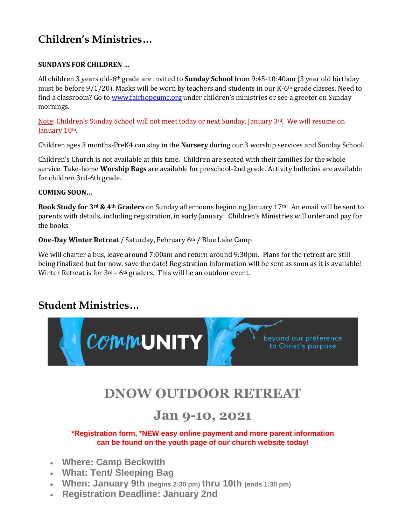# **Children's Ministries…**

### **SUNDAYS FOR CHILDREN …**

All children 3 years old-6th grade are invited to **Sunday School** from 9:45-10:40am (3 year old birthday must be before 9/1/20). Masks will be worn by teachers and students in our K-6th grade classes. Need to find a classroom? Go to [www.fairhopeumc.org](http://www.fairhopeumc.org/) under children's ministries or see a greeter on Sunday mornings.

Note: Children's Sunday School will not meet today or next Sunday, January 3rd. We will resume on January 10<sup>th</sup>.

Children ages 3 months-PreK4 can stay in the **Nursery** during our 3 worship services and Sunday School.

Children's Church is not available at this time. Children are seated with their families for the whole service. Take-home **Worship Bags** are available for preschool-2nd grade. Activity bulletins are available for children 3rd-6th grade.

#### **COMING SOON…**

**Book Study for 3rd & 4th Graders** on Sunday afternoons beginning January 17th! An email will be sent to parents with details, including registration, in early January! Children's Ministries will order and pay for the books.

**One-Day Winter Retreat** / Saturday, February 6th / Blue Lake Camp

We will charter a bus, leave around 7:00am and return around 9:30pm. Plans for the retreat are still being finalized but for now, save the date! Registration information will be sent as soon as it is available! Winter Retreat is for  $3<sup>rd</sup> - 6<sup>th</sup>$  graders. This will be an outdoor event.

# **Student Ministries…**



# **DNOW OUTDOOR RETREAT**

# **Jan 9-10, 2021**

**\*Registration form, \*NEW easy online payment and more parent information can be found on the youth page of our church website today!**

- **Where: Camp Beckwith**
- **What: Tent/ Sleeping Bag**
- **When: January 9th (begins 2:30 pm) thru 10th (ends 1:30 pm)**
- **Registration Deadline: January 2nd**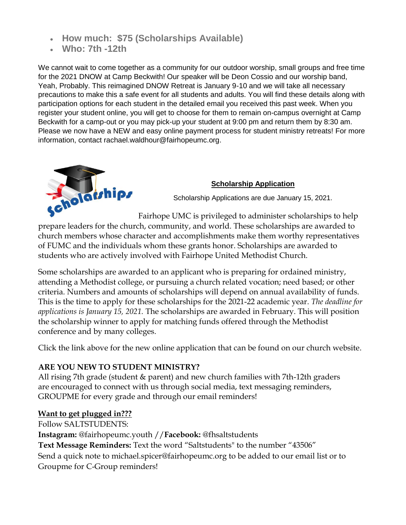- **How much: \$75 (Scholarships Available)**
- **Who: 7th -12th**

We cannot wait to come together as a community for our outdoor worship, small groups and free time for the 2021 DNOW at Camp Beckwith! Our speaker will be Deon Cossio and our worship band, Yeah, Probably. This reimagined DNOW Retreat is January 9-10 and we will take all necessary precautions to make this a safe event for all students and adults. You will find these details along with participation options for each student in the detailed email you received this past week. When you register your student online, you will get to choose for them to remain on-campus overnight at Camp Beckwith for a camp-out or you may pick-up your student at 9:00 pm and return them by 8:30 am. Please we now have a NEW and easy online payment process for student ministry retreats! For more information, contact rachael.waldhour@fairhopeumc.org.



## **[Scholarship Application](https://fairhopeumc.us14.list-manage.com/track/click?u=19c1778e7538bb734e0f04119&id=b525ced1eb&e=2630421917)**

Scholarship Applications are due January 15, 2021.

Fairhope UMC is privileged to administer scholarships to help prepare leaders for the church, community, and world. These scholarships are awarded to church members whose character and accomplishments make them worthy representatives of FUMC and the individuals whom these grants honor. Scholarships are awarded to students who are actively involved with Fairhope United Methodist Church.

Some scholarships are awarded to an applicant who is preparing for ordained ministry, attending a Methodist college, or pursuing a church related vocation; need based; or other criteria. Numbers and amounts of scholarships will depend on annual availability of funds. This is the time to apply for these scholarships for the 2021-22 academic year. *The deadline for applications is January 15, 2021.* The scholarships are awarded in February. This will position the scholarship winner to apply for matching funds offered through the Methodist conference and by many colleges.

Click the link above for the new online application that can be found on our church website.

## **ARE YOU NEW TO STUDENT MINISTRY?**

All rising 7th grade (student & parent) and new church families with 7th-12th graders are encouraged to connect with us through social media, text messaging reminders, GROUPME for every grade and through our email reminders!

## **Want to get plugged in???**

Follow SALTSTUDENTS:

**Instagram:** @fairhopeumc.youth //**Facebook:** @fhsaltstudents

**Text Message Reminders:** Text the word "Saltstudents" to the number "43506"

Send a quick note to michael.spicer@fairhopeumc.org to be added to our email list or to Groupme for C-Group reminders!